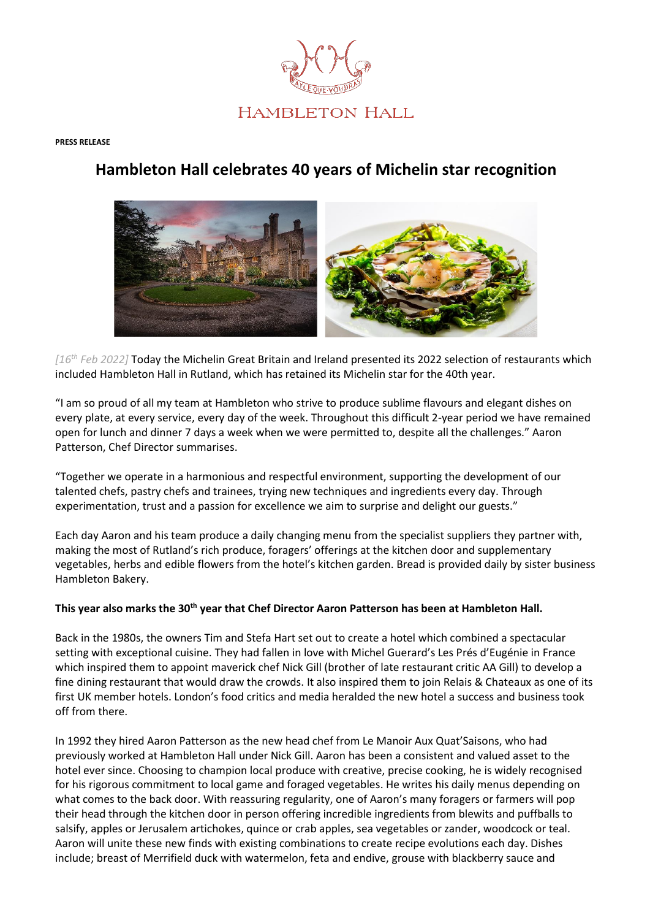

#### **PRESS RELEASE**

# **Hambleton Hall celebrates 40 years of Michelin star recognition**



*[16th Feb 2022]* Today the Michelin Great Britain and Ireland presented its 2022 selection of restaurants which included Hambleton Hall in Rutland, which has retained its Michelin star for the 40th year.

"I am so proud of all my team at Hambleton who strive to produce sublime flavours and elegant dishes on every plate, at every service, every day of the week. Throughout this difficult 2-year period we have remained open for lunch and dinner 7 days a week when we were permitted to, despite all the challenges." Aaron Patterson, Chef Director summarises.

"Together we operate in a harmonious and respectful environment, supporting the development of our talented chefs, pastry chefs and trainees, trying new techniques and ingredients every day. Through experimentation, trust and a passion for excellence we aim to surprise and delight our guests."

Each day Aaron and his team produce a daily changing menu from the specialist suppliers they partner with, making the most of Rutland's rich produce, foragers' offerings at the kitchen door and supplementary vegetables, herbs and edible flowers from the hotel's kitchen garden. Bread is provided daily by sister business Hambleton Bakery.

## **This year also marks the 30th year that Chef Director Aaron Patterson has been at Hambleton Hall.**

Back in the 1980s, the owners Tim and Stefa Hart set out to create a hotel which combined a spectacular setting with exceptional cuisine. They had fallen in love with Michel Guerard's Les Prés d'Eugénie in France which inspired them to appoint maverick chef Nick Gill (brother of late restaurant critic AA Gill) to develop a fine dining restaurant that would draw the crowds. It also inspired them to join Relais & Chateaux as one of its first UK member hotels. London's food critics and media heralded the new hotel a success and business took off from there.

In 1992 they hired Aaron Patterson as the new head chef from Le Manoir Aux Quat'Saisons, who had previously worked at Hambleton Hall under Nick Gill. Aaron has been a consistent and valued asset to the hotel ever since. Choosing to champion local produce with creative, precise cooking, he is widely recognised for his rigorous commitment to local game and foraged vegetables. He writes his daily menus depending on what comes to the back door. With reassuring regularity, one of Aaron's many foragers or farmers will pop their head through the kitchen door in person offering incredible ingredients from blewits and puffballs to salsify, apples or Jerusalem artichokes, quince or crab apples, sea vegetables or zander, woodcock or teal. Aaron will unite these new finds with existing combinations to create recipe evolutions each day. Dishes include; breast of Merrifield duck with watermelon, feta and endive, grouse with blackberry sauce and